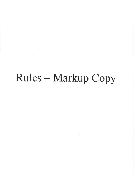## Rules - Markup Copy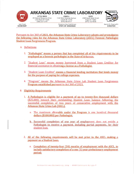

## **ARKANSAS STATE CRIME LABORATORY**

**LITTLE ROCK** #3 Natural Resources Drive Little Rock AR 72205  $(501)$  227-5747

LOWELL 1120 West Monroe Avenue Lowell AR 72745 (479) 365-8717

Governor Asa Hutchinson

**STATE OF ARKANSAS** 

**HOPE** 2500 South Main Street Hope AR 71802 (870) 722-8530



Kermit B<sub>r-</sub>Channell II

**DIRECTOR** 

**SECRETARY** 

Pursuant to Act 360 of 2021, the Arkansas State Crime Laboratory adopts and promulgates the following rules for the Arkansas State Crime Laboratory (ASCL) Forensic Pathologist **Student Loan Forgiveness Program.** 

- A. Definitions
	- 1. "Pathologist" means a person that has completed all of the requirements to be employed as a forensic pathologist in the State of Arkansas.
	- 2. "Student Loan" means money borrowed from a Student Loan Creditor for financial assistance in obtaining a license as a Pathologist.
	- 3. "Student Loan Creditor" means a financial lending institution that lends money for the purpose of paying for college expenses.
	- 4. "Program" means the Arkansas State Crime Lab Student Loan Forgiveness Program established pursuant to Act 360 of 2021.
- **B.** Eligibility Requirements
	- 1. A Pathologist is eligible for a payment of up to twenty-five thousand dollars (\$25,000) toward their outstanding Student Loan balance following the successful completion of two years of consecutive employment with the Arkansas State Crime Lab (ASCL).
		- a. The maximum allowable under the Program is one hundred thousand dollars (\$100,000) per Pathologist.
		- b. Successful completion of one year of employment does not entitle a Pathologist to receive a payment, including partial payments, for their student loan.
	- 2. All of the following requirements will be met prior to the ASCL making a payment on a Student Loan.
		- a. Completion of twenty-four (24) months of employment with the ASCL, to include satisfactory completion of a one (1) year probationary employment period: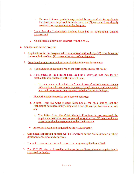- i. The one (1) year probationary period is not required for applicants that have been employed for more than two (2) years and have already received one payment under the Program.
- b. Proof that the Pathologist's Student Loan has an outstanding, unpaid, balance; and
- c. An executed employment contract with the ASCL.
- C. Applications for the Program
	- 1. Applications for the Program will be submitted within thirty (30) days following the completion of two (2) consecutive years of employment.
	- 2. Completed applications will include all of the following documents:
		- a. A completed application form on the form approved by the ASCL;
		- b. A statement on the Student Loan Creditor's letterhead that includes the total outstanding balance of the Student Loan;
			- i. The statement will include the Student Loan Creditor's name, contact information, address where payments should be sent, and any special instructions for remitting payment on behalf of the Pathologist.
		- c. The Pathologist's executed employment contract;
		- d. A letter from the Chief Medical Examiner at the ASCL stating that the Pathologist has successfully completed a one (1) year probationary period; and
			- i. The letter from the Chief Medical Examiner is not required for applicants that have been employed more than two (2) years and have already received one payment under the Program.
		- e. Any other documents required by the ASCL Director.
	- 3. Completed application packets will be forwarded to the ASCL Director, or their designee, for review and approval.
	- 4. The ASCL Director's decision to reward or deny an application is final.
	- 5. The ASCL Director will provide notice to the applicant when an application is approved or denied.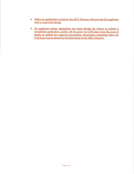- a. When an application is denied, the ASCL Director will provide the applicant with a reason for denial.
- b. An applicant whose application has been denied for failure to submit a completed application packet will be given ten (10) days from the date of denial to submit the required documents. Documents submitted after ten  $\hat{\mathbf{x}}$ (10) days may be denied at the discretion of the ASCL Director.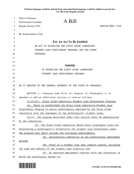**Stricken language would be deleted from and underlined language would be added to present law. Act 360 of the Regular Session**

| $\mathbf{1}$ | <b>State of Arkansas</b>                                            |                                                                            |                 |
|--------------|---------------------------------------------------------------------|----------------------------------------------------------------------------|-----------------|
| 2            | 93rd General Assembly                                               | A Bill                                                                     |                 |
| 3            | Regular Session, 2021                                               |                                                                            | HOUSE BILL 1224 |
| 4            |                                                                     |                                                                            |                 |
| 5            | By: Representative Tosh                                             |                                                                            |                 |
| 6            |                                                                     |                                                                            |                 |
| 7            |                                                                     | For An Act To Be Entitled                                                  |                 |
| 8            |                                                                     | AN ACT TO ESTABLISH THE STATE CRIME LABORATORY                             |                 |
| 9            | STUDENT LOAN FORGIVENESS PROGRAM; AND FOR OTHER                     |                                                                            |                 |
| 10           | PURPOSES.                                                           |                                                                            |                 |
| 11           |                                                                     |                                                                            |                 |
| 12           |                                                                     |                                                                            |                 |
| 13           |                                                                     | <b>Subtitle</b>                                                            |                 |
| 14           |                                                                     | TO ESTABLISH THE STATE CRIME LABORATORY                                    |                 |
| 15           |                                                                     | STUDENT LOAN FORGIVENESS PROGRAM.                                          |                 |
| 16           |                                                                     |                                                                            |                 |
| 17           |                                                                     |                                                                            |                 |
| 18           |                                                                     | BE IT ENACTED BY THE GENERAL ASSEMBLY OF THE STATE OF ARKANSAS:            |                 |
| 19           |                                                                     |                                                                            |                 |
| 20           | SECTION 1. Arkansas Code Title 12, Chapter 12, Subchapter 3, is     |                                                                            |                 |
| 21           | amended to add an additional section to read as follows:            |                                                                            |                 |
| 22           |                                                                     | 12-12-327. State Crime Laboratory Student Loan Forgiveness Program.        |                 |
| 23           | There is established the State Crime Laboratory Student Loan<br>(a) |                                                                            |                 |
| 24           |                                                                     | Forgiveness Program to assist pathologists employed by the State Crime     |                 |
| 25           |                                                                     | Laboratory with the repayment of the pathologists' student loans.          |                 |
| 26           |                                                                     | $(b)(1)$ The program described under this section shall be administered    |                 |
| 27           | by the laboratory.                                                  |                                                                            |                 |
| 28           |                                                                     | (2) The State Crime Laboratory Board shall promulgate rules for            |                 |
| 29           |                                                                     | determining a pathologist's eligibility for student loan forgiveness under |                 |
| 30           |                                                                     | the program that shall include the following requirements:                 |                 |
| 31           |                                                                     | (A) Satisfactory completion of any probationary employment                 |                 |
| 32           | period;                                                             |                                                                            |                 |
| 33           | (B)                                                                 | Proof of a student loan that remains unpaid, including                     |                 |
| 34           | the name and address of the student loan creditor; and              |                                                                            |                 |
| 35           | (C)                                                                 | An executed employment contract with the laboratory in                     |                 |
| 36           | which the pathologist agrees to:                                    |                                                                            |                 |